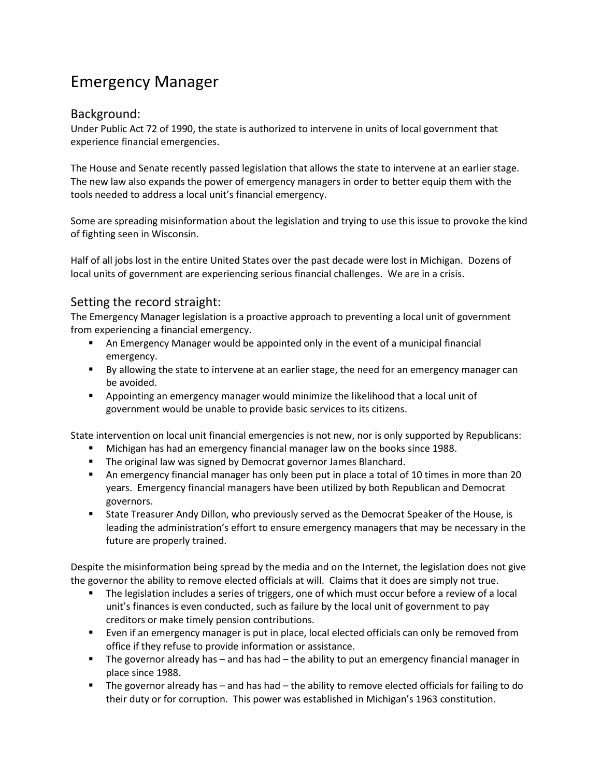## Emergency Manager

## Background:

Under Public Act 72 of 1990, the state is authorized to intervene in units of local government that experience financial emergencies.

The House and Senate recently passed legislation that allows the state to intervene at an earlier stage. The new law also expands the power of emergency managers in order to better equip them with the tools needed to address a local unit's financial emergency.

Some are spreading misinformation about the legislation and trying to use this issue to provoke the kind of fighting seen in Wisconsin.

Half of all jobs lost in the entire United States over the past decade were lost in Michigan. Dozens of local units of government are experiencing serious financial challenges. We are in a crisis.

## Setting the record straight:

The Emergency Manager legislation is a proactive approach to preventing a local unit of government from experiencing a financial emergency.

- An Emergency Manager would be appointed only in the event of a municipal financial emergency.
- By allowing the state to intervene at an earlier stage, the need for an emergency manager can be avoided.
- Appointing an emergency manager would minimize the likelihood that a local unit of government would be unable to provide basic services to its citizens.

State intervention on local unit financial emergencies is not new, nor is only supported by Republicans:

- Michigan has had an emergency financial manager law on the books since 1988.
- **The original law was signed by Democrat governor James Blanchard.**
- An emergency financial manager has only been put in place a total of 10 times in more than 20 years. Emergency financial managers have been utilized by both Republican and Democrat governors.
- State Treasurer Andy Dillon, who previously served as the Democrat Speaker of the House, is leading the administration's effort to ensure emergency managers that may be necessary in the future are properly trained.

Despite the misinformation being spread by the media and on the Internet, the legislation does not give the governor the ability to remove elected officials at will. Claims that it does are simply not true.

- The legislation includes a series of triggers, one of which must occur before a review of a local unit's finances is even conducted, such as failure by the local unit of government to pay creditors or make timely pension contributions.
- Even if an emergency manager is put in place, local elected officials can only be removed from office if they refuse to provide information or assistance.
- The governor already has  $-$  and has had  $-$  the ability to put an emergency financial manager in place since 1988.
- The governor already has and has had the ability to remove elected officials for failing to do their duty or for corruption. This power was established in Michigan's 1963 constitution.